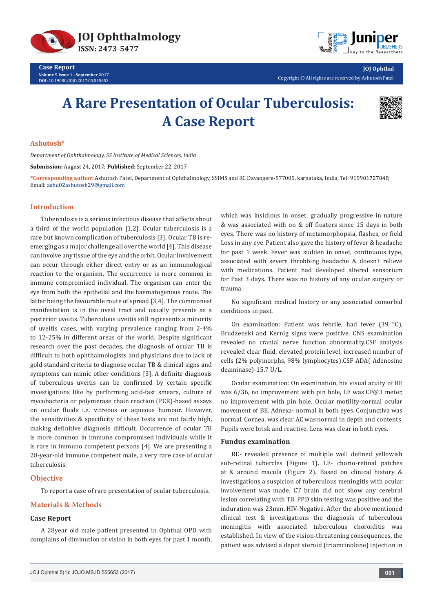



**JOJ Ophthal** Copyright © All rights are reserved by Ashutosh Patel

# **A Rare Presentation of Ocular Tuberculosis: A Case Report**



### **Ashutosh\***

*Department of Ophthalmology, SS Institute of Medical Sciences, India*

**Submission:** August 24, 2017; **Published:** September 22, 2017

**\*Corresponding author:** Ashutosh Patel, Department of Ophthalmology, SSIMS and RC Davangere-577005, karnataka, India, Tel: ; Email: ashu02ashutosh29@gmail.com

### **Introduction**

Tuberculosis is a serious infectious disease that affects about a third of the world population [1,2]. Ocular tuberculosis is a rare but known complication of tuberculosis [3]. Ocular TB is reemerging as a major challenge all over the world [4]. This disease can involve any tissue of the eye and the orbit. Ocular involvement can occur through either direct entry or as an immunological reaction to the organism. The occurrence is more common in immune compromised individual. The organism can enter the eye from both the epithelial and the haematogenous route. The latter being the favourable route of spread [3,4]. The commonest manifestation is in the uveal tract and usually presents as a posterior uveitis. Tuberculous uveitis still represents a minority of uveitis cases, with varying prevalence ranging from 2-4% to 12-25% in different areas of the world. Despite significant research over the past decades, the diagnosis of ocular TB is difficult to both ophthalmologists and physicians due to lack of gold standard criteria to diagnose ocular TB & clinical signs and symptoms can mimic other conditions [3]. A definite diagnosis of tuberculous uveitis can be confirmed by certain specific investigations like by performing acid-fast smears, culture of mycobacteria or polymerase chain reaction (PCR)-based assays on ocular fluids i.e. vitreous or aqueous humour. However, the sensitivities & specificity of these tests are not fairly high, making definitive diagnosis difficult. Occurrence of ocular TB is more common in immune compromised individuals while it is rare in immuno competent persons [4]. We are presenting a 28-year-old immune competent male, a very rare case of ocular tuberculosis.

### **Objective**

To report a case of rare presentation of ocular tuberculosis.

# **Materials & Methods**

### **Case Report**

A 28year old male patient presented in Ophthal OPD with complains of diminution of vision in both eyes for past 1 month, which was insidious in onset, gradually progressive in nature & was associated with on & off floaters since 15 days in both eyes. There was no history of metamorphopsia, flashes, or field Loss in any eye. Patient also gave the history of fever & headache for past 1 week. Fever was sudden in onset, continuous type, associated with severe throbbing headache & doesn't relieve with medications. Patient had developed altered sensorium for Past 3 days. There was no history of any ocular surgery or trauma.

No significant medical history or any associated comorbid conditions in past.

On examination: Patient was febrile, had fever (39 °C), Brudzenski and Kernig signs were positive. CNS examination revealed no cranial nerve function abnormality.CSF analysis revealed clear fluid, elevated protein level, increased number of cells (2% polymorphs, 98% lymphocytes).CSF ADA( Adenosine deaminase)-15.7 U/L.

Ocular examination: On examination, his visual acuity of RE was 6/36, no improvement with pin hole, LE was CF@3 meter, no improvement with pin hole. Ocular motility-normal ocular movement of BE. Adnexa- normal in both eyes. Conjunctiva was normal. Cornea, was clear AC was normal in depth and contents. Pupils were brisk and reactive. Lens was clear in both eyes.

### **Fundus examination**

RE- revealed presence of multiple well defined yellowish sub-retinal tubercles (Figure 1). LE- chorio-retinal patches at & around macula (Figure 2). Based on clinical history & investigations a suspicion of tuberculous meningitis with ocular involvement was made. CT brain did not show any cerebral lesion correlating with TB. PPD skin testing was positive and the induration was 23mm. HIV-Negative. After the above mentioned clinical test & investigations the diagnosis of tuberculous meningitis with associated tuberculous choroiditis was established. In view of the vision-threatening consequences, the patient was advised a depot steroid (triamcinolone) injection in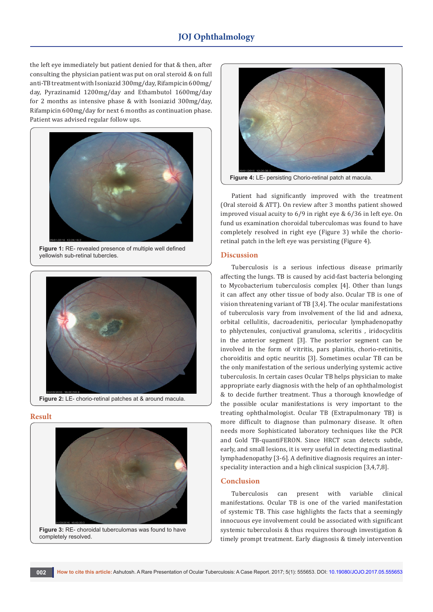# **JOJ Ophthalmology**

the left eye immediately but patient denied for that & then, after consulting the physician patient was put on oral steroid & on full anti-TB treatment with Isoniazid 300mg/day, Rifampicin 600mg/ day, Pyrazinamid 1200mg/day and Ethambutol 1600mg/day for 2 months as intensive phase & with Isoniazid 300mg/day, Rifampicin 600mg/day for next 6 months as continuation phase. Patient was advised regular follow ups.



**Figure 1:** RE- revealed presence of multiple well defined yellowish sub-retinal tubercles.



#### **Result**



**Figure 3:** RE- choroidal tuberculomas was found to have completely resolved.



Patient had significantly improved with the treatment (Oral steroid & ATT). On review after 3 months patient showed improved visual acuity to 6/9 in right eye & 6/36 in left eye. On fund us examination choroidal tuberculomas was found to have completely resolved in right eye (Figure 3) while the chorioretinal patch in the left eye was persisting (Figure 4).

### **Discussion**

Tuberculosis is a serious infectious disease primarily affecting the lungs. TB is caused by acid-fast bacteria belonging to Mycobacterium tuberculosis complex [4]. Other than lungs it can affect any other tissue of body also. Ocular TB is one of vision threatening variant of TB [3,4]. The ocular manifestations of tuberculosis vary from involvement of the lid and adnexa, orbital cellulitis, dacroadenitis, periocular lymphadenopathy to phlyctenules, conjuctival granuloma, scleritis , iridocyclitis in the anterior segment [3]. The posterior segment can be involved in the form of vitritis, pars planitis, chorio-retinitis, choroiditis and optic neuritis [3]. Sometimes ocular TB can be the only manifestation of the serious underlying systemic active tuberculosis. In certain cases Ocular TB helps physician to make appropriate early diagnosis with the help of an ophthalmologist & to decide further treatment. Thus a thorough knowledge of the possible ocular manifestations is very important to the treating ophthalmologist. Ocular TB (Extrapulmonary TB) is more difficult to diagnose than pulmonary disease. It often needs more Sophisticated laboratory techniques like the PCR and Gold TB-quantiFERON. Since HRCT scan detects subtle, early, and small lesions, it is very useful in detecting mediastinal lymphadenopathy [3-6]. A definitive diagnosis requires an interspeciality interaction and a high clinical suspicion [3,4,7,8].

## **Conclusion**

Tuberculosis can present with variable clinical manifestations. Ocular TB is one of the varied manifestation of systemic TB. This case highlights the facts that a seemingly innocuous eye involvement could be associated with significant systemic tuberculosis & thus requires thorough investigation & timely prompt treatment. Early diagnosis & timely intervention